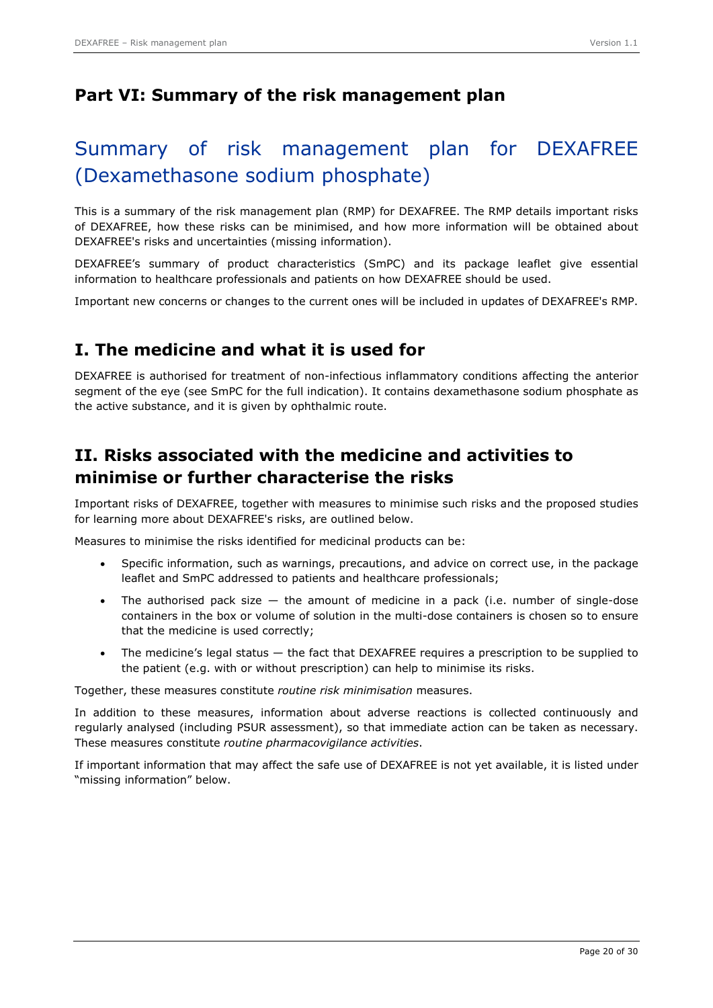# **Part VI: Summary of the risk management plan**

# Summary of risk management plan for DEXAFREE (Dexamethasone sodium phosphate)

This is a summary of the risk management plan (RMP) for DEXAFREE. The RMP details important risks of DEXAFREE, how these risks can be minimised, and how more information will be obtained about DEXAFREE's risks and uncertainties (missing information).

DEXAFREE's summary of product characteristics (SmPC) and its package leaflet give essential information to healthcare professionals and patients on how DEXAFREE should be used.

Important new concerns or changes to the current ones will be included in updates of DEXAFREE's RMP.

# **I. The medicine and what it is used for**

DEXAFREE is authorised for treatment of non-infectious inflammatory conditions affecting the anterior segment of the eye (see SmPC for the full indication). It contains dexamethasone sodium phosphate as the active substance, and it is given by ophthalmic route.

# **II. Risks associated with the medicine and activities to minimise or further characterise the risks**

Important risks of DEXAFREE, together with measures to minimise such risks and the proposed studies for learning more about DEXAFREE's risks, are outlined below.

Measures to minimise the risks identified for medicinal products can be:

- Specific information, such as warnings, precautions, and advice on correct use, in the package leaflet and SmPC addressed to patients and healthcare professionals;
- The authorised pack size  $-$  the amount of medicine in a pack (i.e. number of single-dose containers in the box or volume of solution in the multi-dose containers is chosen so to ensure that the medicine is used correctly;
- The medicine's legal status the fact that DEXAFREE requires a prescription to be supplied to the patient (e.g. with or without prescription) can help to minimise its risks.

Together, these measures constitute *routine risk minimisation* measures.

In addition to these measures, information about adverse reactions is collected continuously and regularly analysed (including PSUR assessment), so that immediate action can be taken as necessary. These measures constitute *routine pharmacovigilance activities*.

If important information that may affect the safe use of DEXAFREE is not yet available, it is listed under "missing information" below.